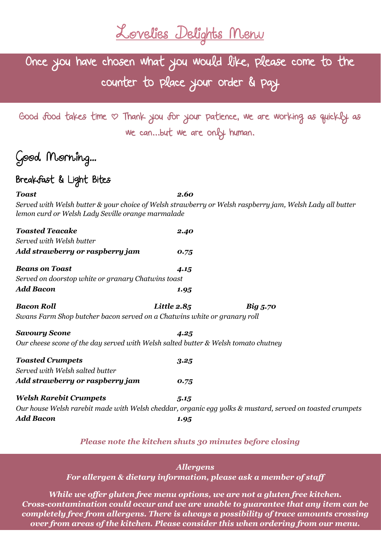Lovelies Delights Menu

Once you have chosen what you would like, please come to the counter to place your order & pay

Good food takes time  $\infty$  Thank you for your patience, we are working as quickly as we can...but we are only human.

i<br>L

# Good Morning...

## Breakfast & Light Bites

*Toast 2.60 Served with Welsh butter & your choice of Welsh strawberry or Welsh raspberry jam, Welsh Lady all butter lemon curd or Welsh Lady Seville orange marmalade*

| <b>Toasted Teacake</b>                                                                | 2.40          |                                                                                                          |
|---------------------------------------------------------------------------------------|---------------|----------------------------------------------------------------------------------------------------------|
| Served with Welsh butter                                                              |               |                                                                                                          |
| Add strawberry or raspberry jam                                                       | 0.75          |                                                                                                          |
| <b>Beans on Toast</b>                                                                 | 4.15          |                                                                                                          |
| Served on doorstop white or granary Chatwins toast                                    |               |                                                                                                          |
| Add Bacon                                                                             | 1.95          |                                                                                                          |
| <b>Bacon Roll</b>                                                                     | Little $2.85$ | Big 5.70                                                                                                 |
| Swans Farm Shop butcher bacon served on a Chatwins white or granary roll              |               |                                                                                                          |
| <b>Savoury Scone</b>                                                                  | 4.25          |                                                                                                          |
| Our cheese scone of the day served with Welsh salted butter $\&$ Welsh tomato chutney |               |                                                                                                          |
| <b>Toasted Crumpets</b>                                                               | 3.25          |                                                                                                          |
| Served with Welsh salted butter                                                       |               |                                                                                                          |
| Add strawberry or raspberry jam                                                       | 0.75          |                                                                                                          |
| <b>Welsh Rarebit Crumpets</b>                                                         | 5.15          |                                                                                                          |
|                                                                                       |               | Our house Welsh rarebit made with Welsh cheddar, organic egg yolks & mustard, served on toasted crumpets |
| Add Bacon                                                                             | 1.95          |                                                                                                          |

#### *Please note the kitchen shuts 30 minutes before closing*

#### *Allergens*

*For allergen & dietary information, please ask a member of staff*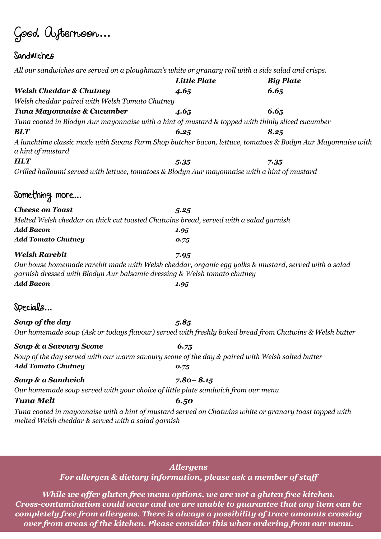Good Afternoon**…**

## Sandwiches

| All our sandwiches are served on a ploughman's white or granary roll with a side salad and crisps.                                                                               |                     |                  |
|----------------------------------------------------------------------------------------------------------------------------------------------------------------------------------|---------------------|------------------|
|                                                                                                                                                                                  | <b>Little Plate</b> | <b>Big Plate</b> |
| <b>Welsh Cheddar &amp; Chutney</b>                                                                                                                                               | 4.65                | 6.65             |
| Welsh cheddar paired with Welsh Tomato Chutney                                                                                                                                   |                     |                  |
| Tuna Mayonnaise & Cucumber                                                                                                                                                       | 4.65                | 6.65             |
| Tuna coated in Blodyn Aur mayonnaise with a hint of mustard & topped with thinly sliced cucumber                                                                                 |                     |                  |
| <b>BLT</b>                                                                                                                                                                       | 6.25                | 8.25             |
| A lunchtime classic made with Swans Farm Shop butcher bacon, lettuce, tomatoes & Bodyn Aur Mayonnaise with<br>a hint of mustard                                                  |                     |                  |
| <b>HLT</b>                                                                                                                                                                       | 5.35                | 7.35             |
| Grilled halloumi served with lettuce, tomatoes & Blodyn Aur mayonnaise with a hint of mustard                                                                                    |                     |                  |
| Something more                                                                                                                                                                   |                     |                  |
| <b>Cheese on Toast</b>                                                                                                                                                           | 5.25                |                  |
| Melted Welsh cheddar on thick cut toasted Chatwins bread, served with a salad garnish                                                                                            |                     |                  |
| <b>Add Bacon</b>                                                                                                                                                                 | 1.95                |                  |
| <b>Add Tomato Chutney</b>                                                                                                                                                        | 0.75                |                  |
| <b>Welsh Rarebit</b>                                                                                                                                                             | 7.95                |                  |
| Our house homemade rarebit made with Welsh cheddar, organic egg yolks & mustard, served with a salad<br>garnish dressed with Blodyn Aur balsamic dressing & Welsh tomato chutney |                     |                  |
| Add Bacon                                                                                                                                                                        | 1.95                |                  |
| Specials                                                                                                                                                                         |                     |                  |
| Soup of the day                                                                                                                                                                  | 5.85                |                  |
| Our homemade soup (Ask or todays flavour) served with freshly baked bread from Chatwins & Welsh butter                                                                           |                     |                  |
| Soup & a Savoury Scone                                                                                                                                                           | 6.75                |                  |
| Soup of the day served with our warm savoury scone of the day & paired with Welsh salted butter                                                                                  |                     |                  |
| <b>Add Tomato Chutney</b>                                                                                                                                                        | 0.75                |                  |
| Soup & a Sandwich                                                                                                                                                                | $7.80 - 8.15$       |                  |
| Our homemade soup served with your choice of little plate sandwich from our menu                                                                                                 |                     |                  |
| Tuna Melt                                                                                                                                                                        | 6.50                |                  |
| Tuna coated in mayonnaise with a hint of mustard served on Chatwins white or granary toast topped with<br>melted Welsh cheddar & served with a salad garnish                     |                     |                  |
|                                                                                                                                                                                  |                     |                  |

#### *Allergens*

*For allergen & dietary information, please ask a member of staff*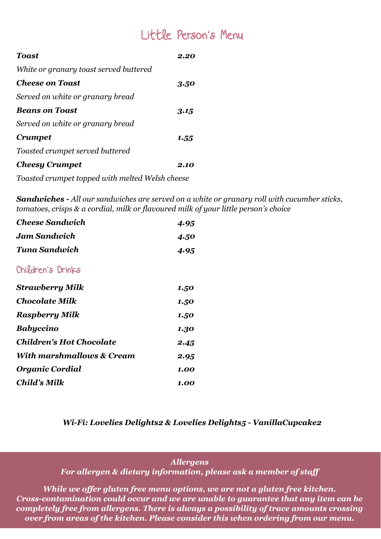# Little Person's Menu

| Toast                                  | 2.20 |
|----------------------------------------|------|
| White or granary toast served buttered |      |
| <b>Cheese on Toast</b>                 | 3.50 |
| Served on white or granary bread       |      |
| <b>Beans on Toast</b>                  | 3.15 |
| Served on white or granary bread       |      |
| <b>Crumpet</b>                         | 1.55 |
| Toasted crumpet served buttered        |      |
| <b>Cheesy Crumpet</b>                  | 2.10 |

*Toasted crumpet topped with melted Welsh cheese*

*Sandwiches - All our sandwiches are served on a white or granary roll with cucumber sticks, tomatoes, crisps & a cordial, milk or flavoured milk of your little person's choice* 

| <b>Cheese Sandwich</b>          | 4.95 |
|---------------------------------|------|
| <b>Jam Sandwich</b>             | 4.50 |
| Tuna Sandwich                   | 4.95 |
| Children's Drinks               |      |
| <b>Strawberry Milk</b>          | 1.50 |
| <b>Chocolate Milk</b>           | 1.50 |
| <b>Raspberry Milk</b>           | 1.50 |
| <b>Babyccino</b>                | 1.30 |
| <b>Children's Hot Chocolate</b> | 2.45 |
| With marshmallows & Cream       | 2.95 |
| <b>Organic Cordial</b>          | 1.00 |
| Child's Milk                    | 1.00 |

#### *Wi-Fi: Lovelies Delights2 & Lovelies Delights5 - VanillaCupcake2*

#### *Allergens*

*For allergen & dietary information, please ask a member of staff*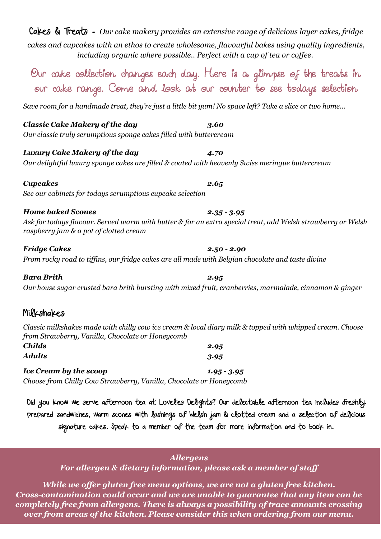| Cakes & Treats - Our cake makery provides an extensive range of delicious layer cakes, fridge     |
|---------------------------------------------------------------------------------------------------|
| cakes and cupcakes with an ethos to create wholesome, flavourful bakes using quality ingredients, |
| including organic where possible Perfect with a cup of tea or coffee.                             |

Our cake collection changes each day. Here is a glimpse of the treats in our cake range. Come and look at our counter to see todays selection

*Save room for a handmade treat, they're just a little bit yum! No space left? Take a slice or two home...*

### *Classic Cake Makery of the day 3.60*

*Our classic truly scrumptious sponge cakes filled with buttercream*

#### *Luxury Cake Makery of the day 4.70*

*Our delightful luxury sponge cakes are filled & coated with heavenly Swiss meringue buttercream*

*Cupcakes 2.65 See our cabinets for todays scrumptious cupcake selection*

#### *Home baked Scones 2.35 - 3.95*

*Ask for todays flavour. Served warm with butter & for an extra special treat, add Welsh strawberry or Welsh raspberry jam & a pot of clotted cream*

*Fridge Cakes 2.50 - 2.90 From rocky road to tiffins, our fridge cakes are all made with Belgian chocolate and taste divine*

#### *Bara Brith 2.95 Our house sugar crusted bara brith bursting with mixed fruit, cranberries, marmalade, cinnamon & ginger*

### Milkshakes

*Classic milkshakes made with chilly cow ice cream & local diary milk & topped with whipped cream. Choose from Strawberry, Vanilla, Chocolate or Honeycomb*

| <b>Childs</b>                                                      | 2.95          |
|--------------------------------------------------------------------|---------------|
| Adults                                                             | 3.95          |
| <b>Ice Cream by the scoop</b>                                      | $1.95 - 3.95$ |
| Choose from Chilly Cow Strawberry, Vanilla, Chocolate or Honeycomb |               |

Did you know we serve afternoon tea at Lovelies Delights? Our delectable afternoon tea includes freshly prepared sandwiches, warm scones with lashings of Welsh jam & clotted cream and a selection of delicious signature cakes. Speak to a member of the team for more information and to book in.

#### *Allergens*

*For allergen & dietary information, please ask a member of staff*